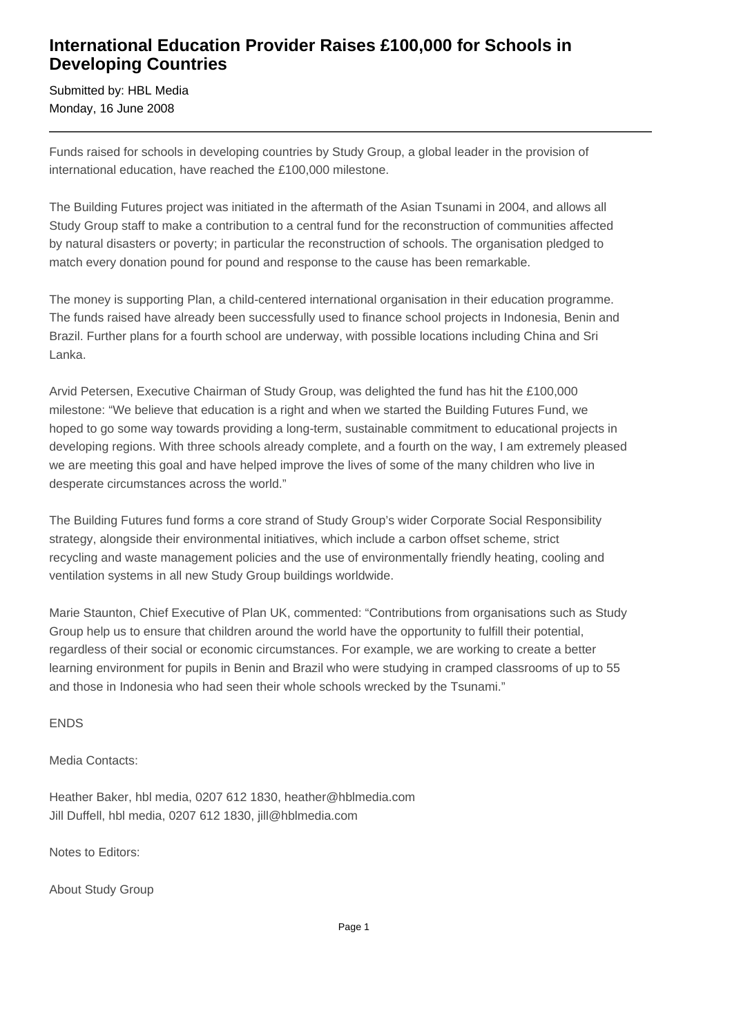## **International Education Provider Raises £100,000 for Schools in Developing Countries**

Submitted by: HBL Media Monday, 16 June 2008

Funds raised for schools in developing countries by Study Group, a global leader in the provision of international education, have reached the £100,000 milestone.

The Building Futures project was initiated in the aftermath of the Asian Tsunami in 2004, and allows all Study Group staff to make a contribution to a central fund for the reconstruction of communities affected by natural disasters or poverty; in particular the reconstruction of schools. The organisation pledged to match every donation pound for pound and response to the cause has been remarkable.

The money is supporting Plan, a child-centered international organisation in their education programme. The funds raised have already been successfully used to finance school projects in Indonesia, Benin and Brazil. Further plans for a fourth school are underway, with possible locations including China and Sri Lanka.

Arvid Petersen, Executive Chairman of Study Group, was delighted the fund has hit the £100,000 milestone: "We believe that education is a right and when we started the Building Futures Fund, we hoped to go some way towards providing a long-term, sustainable commitment to educational projects in developing regions. With three schools already complete, and a fourth on the way, I am extremely pleased we are meeting this goal and have helped improve the lives of some of the many children who live in desperate circumstances across the world."

The Building Futures fund forms a core strand of Study Group's wider Corporate Social Responsibility strategy, alongside their environmental initiatives, which include a carbon offset scheme, strict recycling and waste management policies and the use of environmentally friendly heating, cooling and ventilation systems in all new Study Group buildings worldwide.

Marie Staunton, Chief Executive of Plan UK, commented: "Contributions from organisations such as Study Group help us to ensure that children around the world have the opportunity to fulfill their potential, regardless of their social or economic circumstances. For example, we are working to create a better learning environment for pupils in Benin and Brazil who were studying in cramped classrooms of up to 55 and those in Indonesia who had seen their whole schools wrecked by the Tsunami."

ENDS

Media Contacts:

Heather Baker, hbl media, 0207 612 1830, heather@hblmedia.com Jill Duffell, hbl media, 0207 612 1830, jill@hblmedia.com

Notes to Editors:

About Study Group